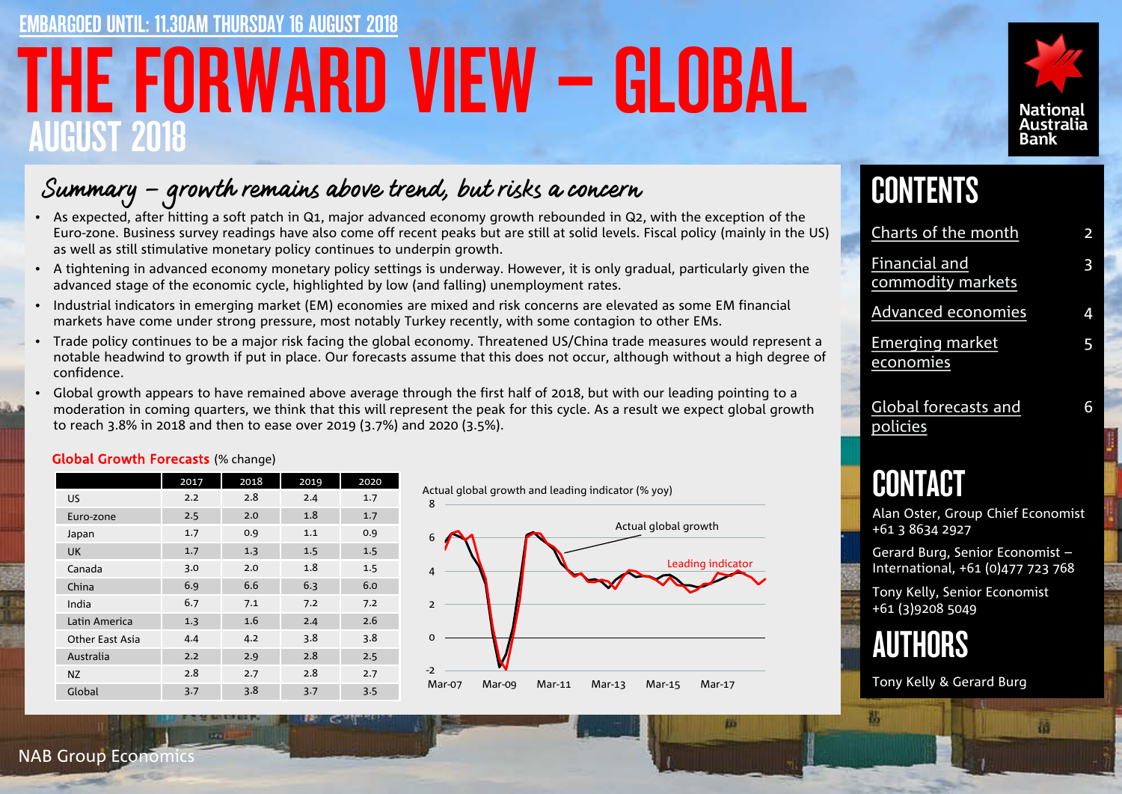# THE FORWARD VIEW – GLOBAL AUGUST 2018 ED UNTIL: 11.30AM THURSDAY 16 AUGUST 2018



## Summary – growth remains above trend, but risks a concern

- As expected, after hitting a soft patch in Q1, major advanced economy growth rebounded in Q2, with the exception of the Euro-zone. Business survey readings have also come off recent peaks but are still at solid levels. Fiscal policy (mainly in the US) as well as still stimulative monetary policy continues to underpin growth.
- A tightening in advanced economy monetary policy settings is underway. However, it is only gradual, particularly given the advanced stage of the economic cycle, highlighted by low (and falling) unemployment rates.
- Industrial indicators in emerging market (EM) economies are mixed and risk concerns are elevated as some EM financial markets have come under strong pressure, most notably Turkey recently, with some contagion to other EMs.
- Trade policy continues to be a major risk facing the global economy. Threatened US/China trade measures would represent a notable headwind to growth if put in place. Our forecasts assume that this does not occur, although without a high degree of confidence.
- Global growth appears to have remained above average through the first half of 2018, but with our leading pointing to a moderation in coming quarters, we think that this will represent the peak for this cycle. As a result we expect global growth to reach 3.8% in 2018 and then to ease over 2019 (3.7%) and 2020 (3.5%).

### Global Growth Forecasts (% change)

|                 | 2017 | 2018 | 2019 | 2020 |
|-----------------|------|------|------|------|
| <b>US</b>       | 2.2  | 2.8  | 2.4  | 1.7  |
| Euro-zone       | 2.5  | 2.0  | 1.8  | 1.7  |
| Japan           | 1.7  | 0.9  | 1.1  | 0.9  |
| UK              | 1.7  | 1.3  | 1.5  | 1.5  |
| Canada          | 3.0  | 2.0  | 1.8  | 1.5  |
| China           | 6.9  | 6.6  | 6.3  | 6.0  |
| India           | 6.7  | 7.1  | 7.2  | 7.2  |
| Latin America   | 1.3  | 1.6  | 2.4  | 2.6  |
| Other East Asia | 4.4  | 4.2  | 3.8  | 3.8  |
| Australia       | 2.2  | 2.9  | 2.8  | 2.5  |
| <b>NZ</b>       | 2.8  | 2.7  | 2.8  | 2.7  |
| Global          | 3.7  | 3.8  | 3.7  | 3.5  |



m

## **CONTENTS**

| Charts of the month                       | 2 |
|-------------------------------------------|---|
| <b>Financial and</b><br>commodity markets | 3 |
| <b>Advanced economies</b>                 | 4 |
| <b>Emerging market</b><br>economies       | 5 |
| <b>Global forecasts and</b><br>policies   | 6 |

## CONTACT

Alan Oster, Group Chief Economist +61 3 8634 2927

Gerard Burg, Senior Economist – International, +61 (0)477 723 768

Tony Kelly, Senior Economist +61 (3)9208 5049



Tony Kelly & Gerard Burg

NAB Group Economics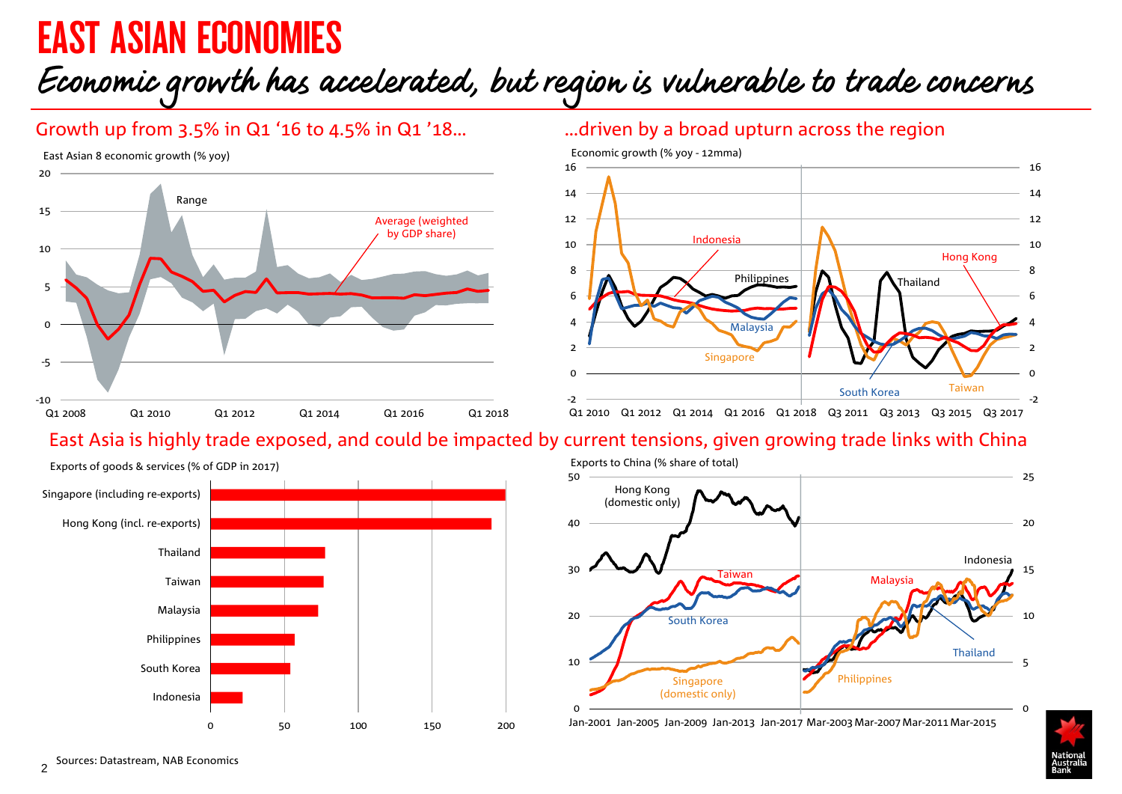# <span id="page-1-0"></span>EAST ASIAN ECONOMIES

# Economic growth has accelerated, but region is vulnerable to trade concerns

## Growth up from 3.5% in Q1 '16 to 4.5% in Q1 '18…

East Asian 8 economic growth (% yoy)



### …driven by a broad upturn across the region



## East Asia is highly trade exposed, and could be impacted by current tensions, given growing trade links with China



Exports to China (% share of total)



Jan-2001 Jan-2005 Jan-2009 Jan-2013 Jan-2017 Mar-2003Mar-2007Mar-2011Mar-2015

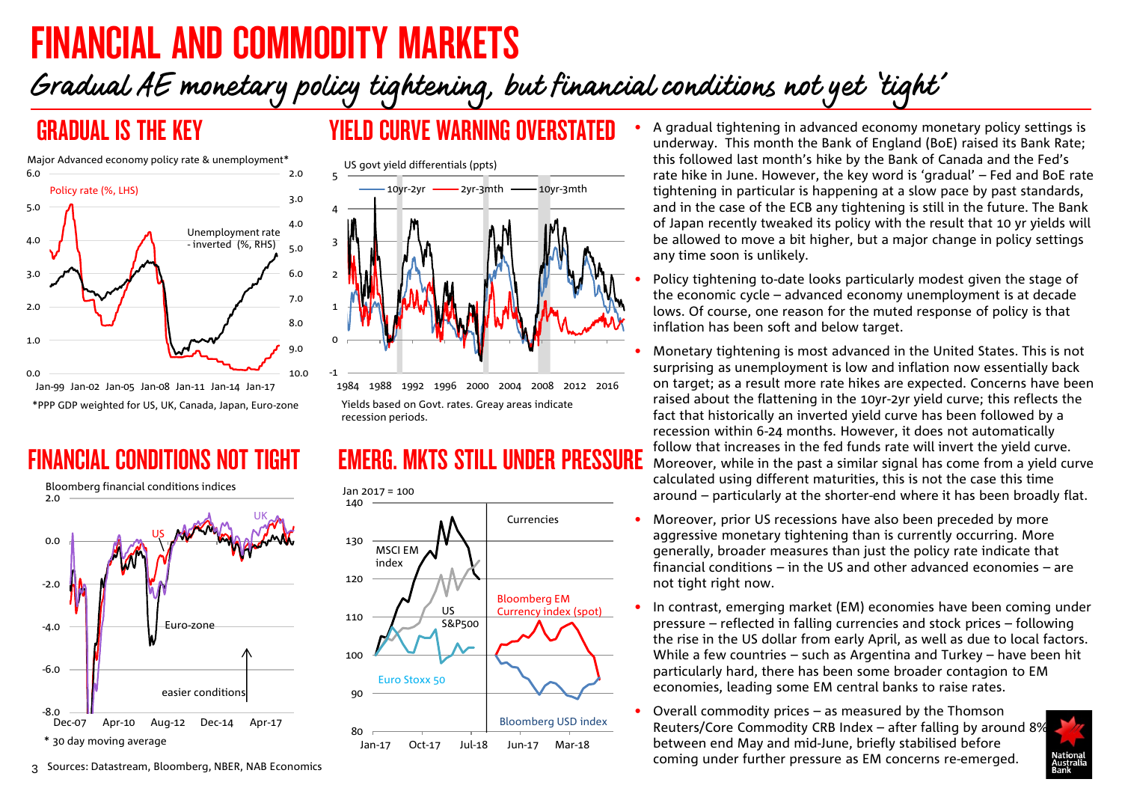# <span id="page-2-0"></span>FINANCIAL AND COMMODITY MARKETS

# Gradual AE monetary policy tightening, but financial conditions not yet 'tight'



## GRADUAL IS THE KEY YIELD CURVE WARNING OVERSTATED



1984 1988 1992 1996 2000 2004 2008 2012 2016 Yields based on Govt. rates. Greay areas indicate recession periods.

## EMERG. MKTS STILL UNDER PRESSURE





- A gradual tightening in advanced economy monetary policy settings is underway. This month the Bank of England (BoE) raised its Bank Rate; this followed last month's hike by the Bank of Canada and the Fed's rate hike in June. However, the key word is 'gradual' – Fed and BoE rate tightening in particular is happening at a slow pace by past standards, and in the case of the ECB any tightening is still in the future. The Bank of Japan recently tweaked its policy with the result that 10 yr yields will be allowed to move a bit higher, but a major change in policy settings any time soon is unlikely.
- Policy tightening to-date looks particularly modest given the stage of the economic cycle – advanced economy unemployment is at decade lows. Of course, one reason for the muted response of policy is that inflation has been soft and below target.
- Monetary tightening is most advanced in the United States. This is not surprising as unemployment is low and inflation now essentially back on target; as a result more rate hikes are expected. Concerns have been raised about the flattening in the 10yr-2yr yield curve; this reflects the fact that historically an inverted yield curve has been followed by a recession within 6-24 months. However, it does not automatically follow that increases in the fed funds rate will invert the yield curve. Moreover, while in the past a similar signal has come from a yield curve calculated using different maturities, this is not the case this time around – particularly at the shorter-end where it has been broadly flat.
- Moreover, prior US recessions have also been preceded by more aggressive monetary tightening than is currently occurring. More generally, broader measures than just the policy rate indicate that financial conditions – in the US and other advanced economies – are not tight right now.
- In contrast, emerging market (EM) economies have been coming under pressure – reflected in falling currencies and stock prices – following the rise in the US dollar from early April, as well as due to local factors. While a few countries – such as Argentina and Turkey – have been hit particularly hard, there has been some broader contagion to EM economies, leading some EM central banks to raise rates.
- Overall commodity prices as measured by the Thomson Reuters/Core Commodity CRB Index – after falling by around 8% between end May and mid-June, briefly stabilised before coming under further pressure as EM concerns re-emerged.

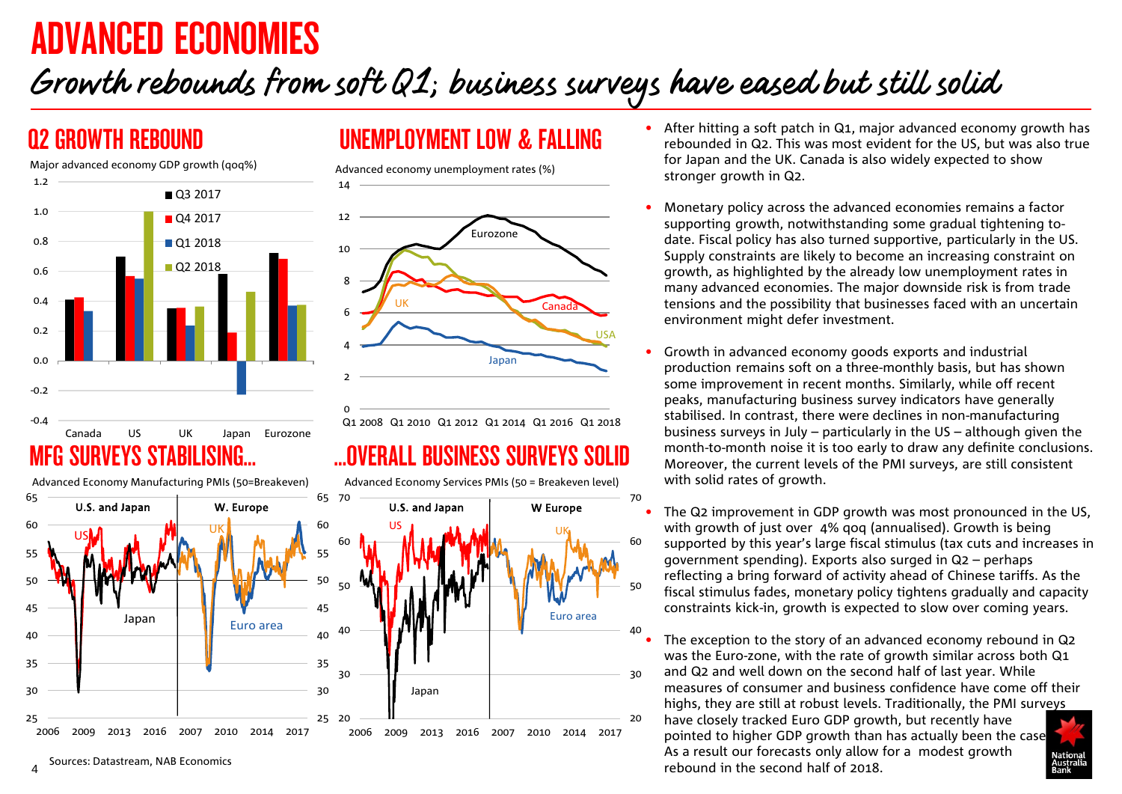# <span id="page-3-0"></span>ADVANCED ECONOMIES

# Growth rebounds from soft Q1; business surveys have eased but still solid



Advanced Economy Manufacturing PMIs (50=Breakeven)

## Q2 GROWTH REBOUND UNEMPLOYMENT LOW & FALLING

Advanced economy unemployment rates (%)



Q1 2008 Q1 2010 Q1 2012 Q1 2014 Q1 2016 Q1 2018

Advanced Economy Services PMIs (50 = Breakeven level)



0

14

- After hitting a soft patch in Q1, major advanced economy growth has rebounded in Q2. This was most evident for the US, but was also true for Japan and the UK. Canada is also widely expected to show stronger growth in Q2.
- Monetary policy across the advanced economies remains a factor supporting growth, notwithstanding some gradual tightening todate. Fiscal policy has also turned supportive, particularly in the US. Supply constraints are likely to become an increasing constraint on growth, as highlighted by the already low unemployment rates in many advanced economies. The major downside risk is from trade tensions and the possibility that businesses faced with an uncertain environment might defer investment.
- Growth in advanced economy goods exports and industrial production remains soft on a three-monthly basis, but has shown some improvement in recent months. Similarly, while off recent peaks, manufacturing business survey indicators have generally stabilised. In contrast, there were declines in non-manufacturing business surveys in July – particularly in the US – although given the month-to-month noise it is too early to draw any definite conclusions. Moreover, the current levels of the PMI surveys, are still consistent with solid rates of growth.
	- The Q2 improvement in GDP growth was most pronounced in the US, with growth of just over 4% qoq (annualised). Growth is being supported by this year's large fiscal stimulus (tax cuts and increases in government spending). Exports also surged in Q2 – perhaps reflecting a bring forward of activity ahead of Chinese tariffs. As the fiscal stimulus fades, monetary policy tightens gradually and capacity constraints kick-in, growth is expected to slow over coming years.

The exception to the story of an advanced economy rebound in Q2 was the Euro-zone, with the rate of growth similar across both Q1 and Q2 and well down on the second half of last year. While measures of consumer and business confidence have come off their highs, they are still at robust levels. Traditionally, the PMI surveys have closely tracked Euro GDP growth, but recently have pointed to higher GDP growth than has actually been the case. As a result our forecasts only allow for a modest growth Sources: Datastream, NAB Economics and Sources: Datastream, NAB Economics and Sources: Datastream, NAB Economics and Sources: Datastream, NAB Economics and Sources: Datastream, NAB Economics and Sources: Datastream, NAB Ec

4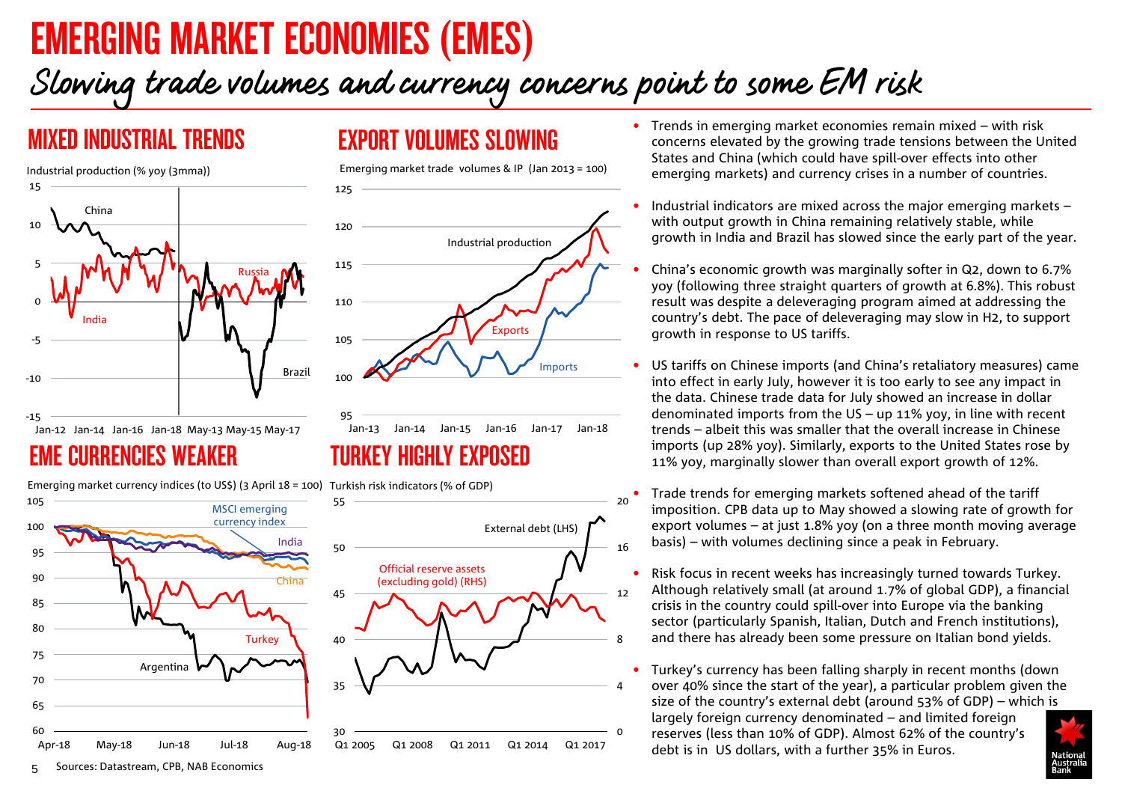# <span id="page-4-0"></span>EMERGING MARKET ECONOMIES (EMES)

# Slowing trade volumes and currency concerns point to some EM risk



## MIXED INDUSTRIAL TRENDS EXPORT VOLUMES SLOWING

Emerging market trade volumes & IP (Jan 2013 = 100)



## TURKEY HIGHLY EXPOSED

60 65 70 75 80 85 90 95 100 105 Apr-18 May-18 Jun-18 Jul-18 Aug-18 **Turkey Argentina** MSCI emerging currency index China India

### $\Omega$ 4 8 12 16 20 30 35 40 45 50 55 Q1 2005 Q1 2008 Q1 2011 Q1 2014 Q1 2017 Official reserve assets (excluding gold) (RHS) External debt (LHS)

- Trends in emerging market economies remain mixed with risk concerns elevated by the growing trade tensions between the United States and China (which could have spill-over effects into other emerging markets) and currency crises in a number of countries.
- Industrial indicators are mixed across the major emerging markets  $$ with output growth in China remaining relatively stable, while growth in India and Brazil has slowed since the early part of the year.
- China's economic growth was marginally softer in Q2, down to 6.7% yoy (following three straight quarters of growth at 6.8%). This robust result was despite a deleveraging program aimed at addressing the country's debt. The pace of deleveraging may slow in H2, to support growth in response to US tariffs.
- US tariffs on Chinese imports (and China's retaliatory measures) came into effect in early July, however it is too early to see any impact in the data. Chinese trade data for July showed an increase in dollar denominated imports from the US – up 11% yoy, in line with recent trends – albeit this was smaller that the overall increase in Chinese imports (up 28% yoy). Similarly, exports to the United States rose by 11% yoy, marginally slower than overall export growth of 12%.
- Trade trends for emerging markets softened ahead of the tariff imposition. CPB data up to May showed a slowing rate of growth for export volumes – at just 1.8% yoy (on a three month moving average basis) – with volumes declining since a peak in February.
- Risk focus in recent weeks has increasingly turned towards Turkey. Although relatively small (at around 1.7% of global GDP), a financial crisis in the country could spill-over into Europe via the banking sector (particularly Spanish, Italian, Dutch and French institutions), and there has already been some pressure on Italian bond yields.
- Turkey's currency has been falling sharply in recent months (down over 40% since the start of the year), a particular problem given the size of the country's external debt (around 53% of GDP) – which is largely foreign currency denominated – and limited foreign reserves (less than 10% of GDP). Almost 62% of the country's debt is in US dollars, with a further 35% in Euros.

5 Sources: Datastream, CPB, NAB Economics

Emerging market currency indices (to US\$) (3 April 18 = 100) Turkish risk indicators (% of GDP)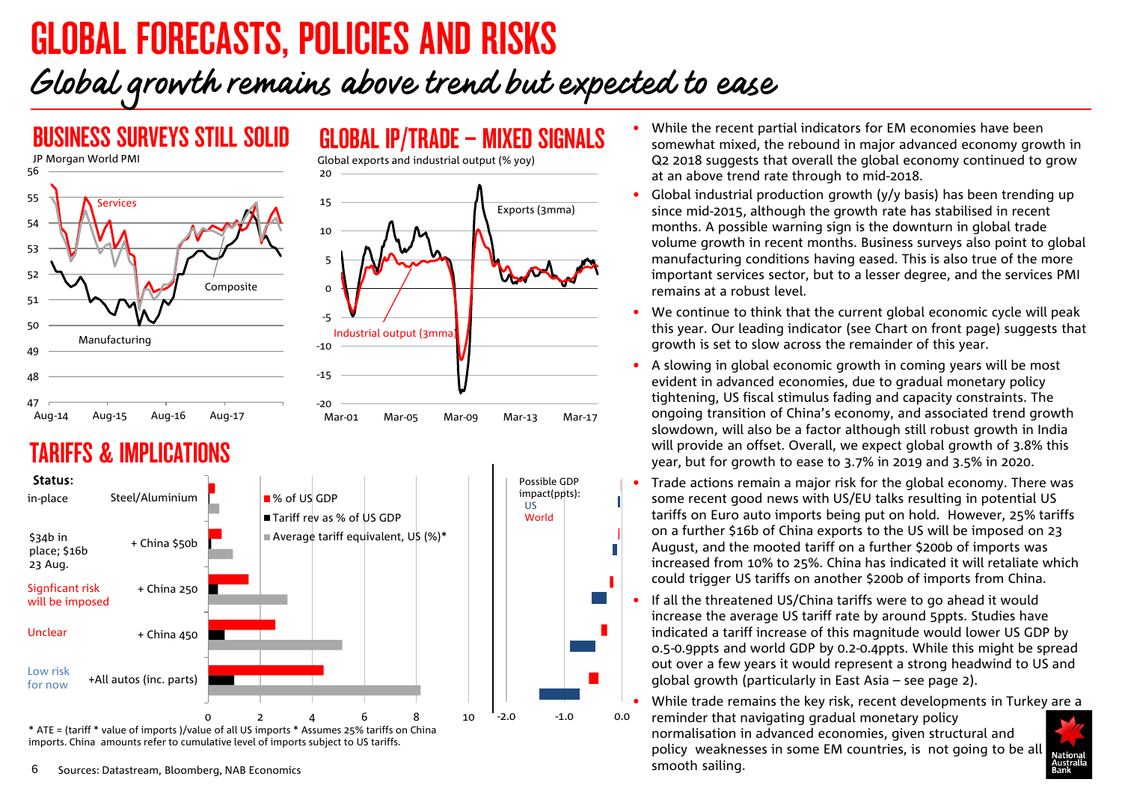# <span id="page-5-0"></span>GLOBAL FORECASTS, POLICIES AND RISKS

# Global growth remains above trend but expected to ease



## TARIFFS & IMPLICATIONS



• While the recent partial indicators for EM economies have been somewhat mixed, the rebound in major advanced economy growth in Q2 2018 suggests that overall the global economy continued to grow at an above trend rate through to mid-2018.

- Global industrial production growth (y/y basis) has been trending up since mid-2015, although the growth rate has stabilised in recent months. A possible warning sign is the downturn in global trade volume growth in recent months. Business surveys also point to global manufacturing conditions having eased. This is also true of the more important services sector, but to a lesser degree, and the services PMI remains at a robust level.
- We continue to think that the current global economic cycle will peak this year. Our leading indicator (see Chart on front page) suggests that growth is set to slow across the remainder of this year.
- A slowing in global economic growth in coming years will be most evident in advanced economies, due to gradual monetary policy tightening, US fiscal stimulus fading and capacity constraints. The ongoing transition of China's economy, and associated trend growth slowdown, will also be a factor although still robust growth in India will provide an offset. Overall, we expect global growth of 3.8% this year, but for growth to ease to 3.7% in 2019 and 3.5% in 2020.
- Trade actions remain a major risk for the global economy. There was some recent good news with US/EU talks resulting in potential US tariffs on Euro auto imports being put on hold. However, 25% tariffs on a further \$16b of China exports to the US will be imposed on 23 August, and the mooted tariff on a further \$200b of imports was increased from 10% to 25%. China has indicated it will retaliate which could trigger US tariffs on another \$200b of imports from China.
- If all the threatened US/China tariffs were to go ahead it would increase the average US tariff rate by around 5ppts. Studies have indicated a tariff increase of this magnitude would lower US GDP by o.5-0.9ppts and world GDP by 0.2-0.4ppts. While this might be spread out over a few years it would represent a strong headwind to US and global growth (particularly in East Asia – see page 2).

• While trade remains the key risk, recent developments in Turkey are a reminder that navigating gradual monetary policy normalisation in advanced economies, given structural and policy weaknesses in some EM countries, is not going to be all